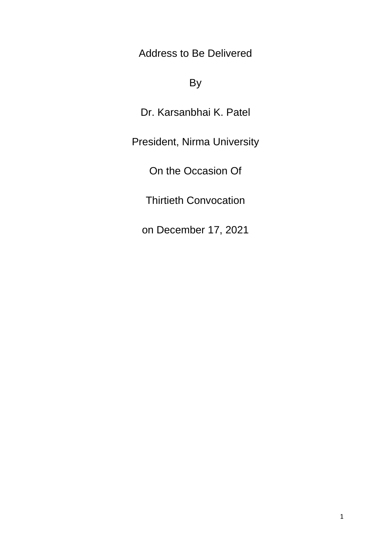Address to Be Delivered

## By

Dr. Karsanbhai K. Patel

President, Nirma University

On the Occasion Of

Thirtieth Convocation

on December 17, 2021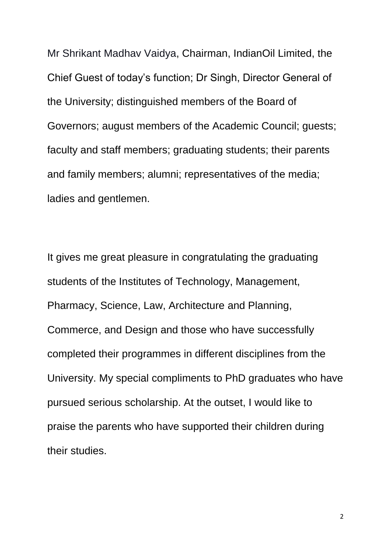Mr Shrikant Madhav Vaidya, Chairman, IndianOil Limited, the Chief Guest of today's function; Dr Singh, Director General of the University; distinguished members of the Board of Governors; august members of the Academic Council; guests; faculty and staff members; graduating students; their parents and family members; alumni; representatives of the media; ladies and gentlemen.

It gives me great pleasure in congratulating the graduating students of the Institutes of Technology, Management, Pharmacy, Science, Law, Architecture and Planning, Commerce, and Design and those who have successfully completed their programmes in different disciplines from the University. My special compliments to PhD graduates who have pursued serious scholarship. At the outset, I would like to praise the parents who have supported their children during their studies.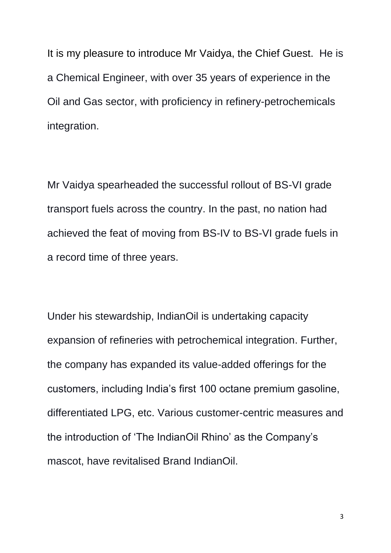It is my pleasure to introduce Mr Vaidya, the Chief Guest. He is a Chemical Engineer, with over 35 years of experience in the Oil and Gas sector, with proficiency in refinery-petrochemicals integration.

Mr Vaidya spearheaded the successful rollout of BS-VI grade transport fuels across the country. In the past, no nation had achieved the feat of moving from BS-IV to BS-VI grade fuels in a record time of three years.

Under his stewardship, IndianOil is undertaking capacity expansion of refineries with petrochemical integration. Further, the company has expanded its value-added offerings for the customers, including India's first 100 octane premium gasoline, differentiated LPG, etc. Various customer-centric measures and the introduction of 'The IndianOil Rhino' as the Company's mascot, have revitalised Brand IndianOil.

3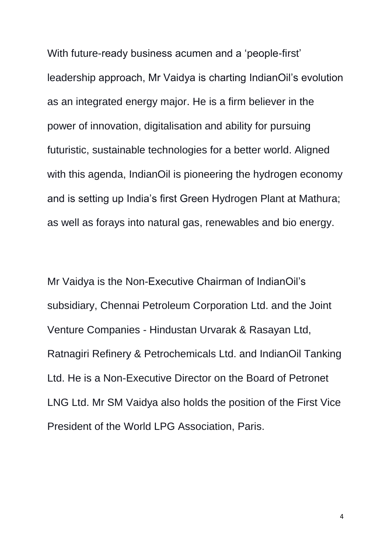With future-ready business acumen and a 'people-first' leadership approach, Mr Vaidya is charting IndianOil's evolution as an integrated energy major. He is a firm believer in the power of innovation, digitalisation and ability for pursuing futuristic, sustainable technologies for a better world. Aligned with this agenda, IndianOil is pioneering the hydrogen economy and is setting up India's first Green Hydrogen Plant at Mathura; as well as forays into natural gas, renewables and bio energy.

Mr Vaidya is the Non-Executive Chairman of IndianOil's subsidiary, Chennai Petroleum Corporation Ltd. and the Joint Venture Companies - Hindustan Urvarak & Rasayan Ltd, Ratnagiri Refinery & Petrochemicals Ltd. and IndianOil Tanking Ltd. He is a Non-Executive Director on the Board of Petronet LNG Ltd. Mr SM Vaidya also holds the position of the First Vice President of the World LPG Association, Paris.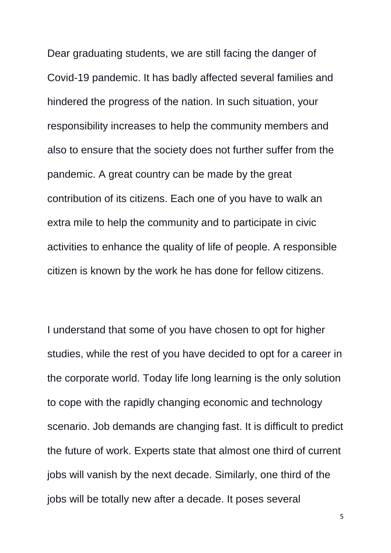Dear graduating students, we are still facing the danger of Covid-19 pandemic. It has badly affected several families and hindered the progress of the nation. In such situation, your responsibility increases to help the community members and also to ensure that the society does not further suffer from the pandemic. A great country can be made by the great contribution of its citizens. Each one of you have to walk an extra mile to help the community and to participate in civic activities to enhance the quality of life of people. A responsible citizen is known by the work he has done for fellow citizens.

I understand that some of you have chosen to opt for higher studies, while the rest of you have decided to opt for a career in the corporate world. Today life long learning is the only solution to cope with the rapidly changing economic and technology scenario. Job demands are changing fast. It is difficult to predict the future of work. Experts state that almost one third of current jobs will vanish by the next decade. Similarly, one third of the jobs will be totally new after a decade. It poses several

5